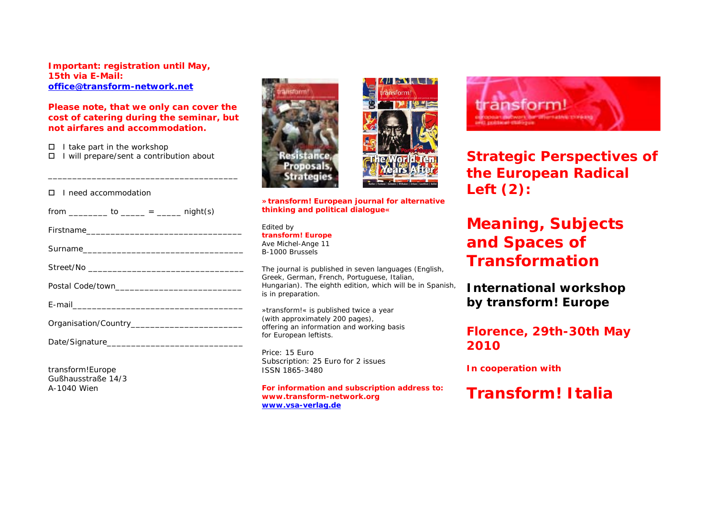**Important: registration until May, 15th via E-Mail: [office@transform-network.net](mailto:office@transform-network.net)**

### **Please note, that we only can cover the cost of catering during the seminar, but not airfares and accommodation.**

\_\_\_\_\_\_\_\_\_\_\_\_\_\_\_\_\_\_\_\_\_\_\_\_\_\_\_\_\_\_\_\_\_\_\_\_\_\_\_

- $\Box$  I take part in the workshop
- I will prepare/sent a contribution about

#### I need accommodation

| from ___________ to ______ = ______ night(s) |
|----------------------------------------------|
|                                              |
|                                              |
|                                              |
|                                              |
|                                              |
|                                              |
|                                              |

transform!Europe Gußhausstraße 14/3 A-1040 Wien





**»transform! European journal for alternative thinking and political dialogue«** 

Edited by **transform! Europe**  Ave Michel-Ange 11 B-1000 Brussels

The journal is published in seven languages (English, Greek, German, French, Portuguese, Italian, Hungarian). The eighth edition, which will be in Spanish. is in preparation.

»transform!« is published twice a year (with approximately 200 pages), offering an information and working basis for European leftists.

Price: 15 Euro Subscription: 25 Euro for 2 issues ISSN 1865-3480

**For information and subscription address to: www.transform-network.org [www.vsa-verlag.de](http://www.vsa-verlag.de/)**



**Strategic Perspectives of the European Radical Left (2):** 

# **Meaning, Subjects and Spaces of Transformation**

**International workshop by transform! Europe** 

**Florence, 29th-30th May 2010** 

**In cooperation with** 

**Transform! Italia**